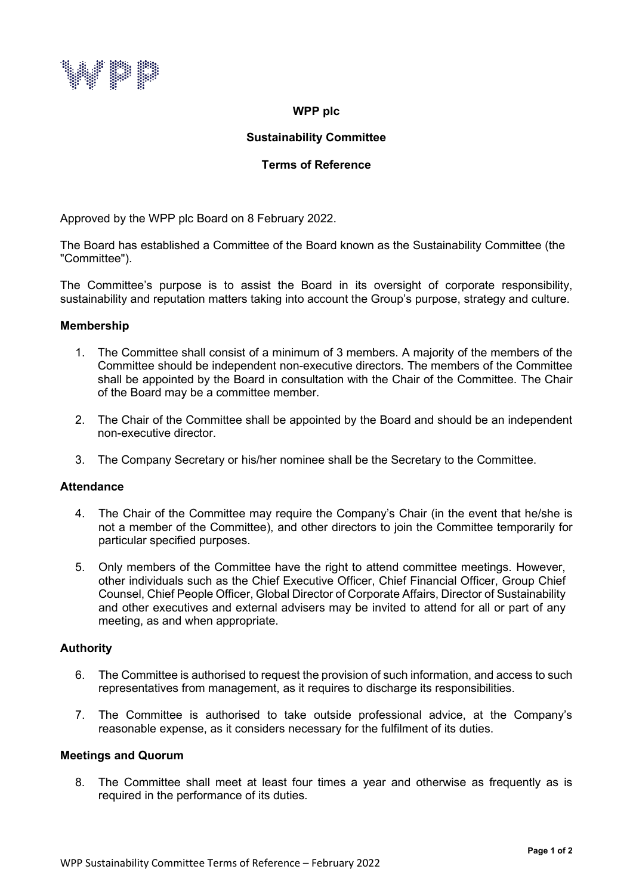

### **WPP plc**

# **Sustainability Committee**

# **Terms of Reference**

Approved by the WPP plc Board on 8 February 2022.

The Board has established a Committee of the Board known as the Sustainability Committee (the "Committee").

The Committee's purpose is to assist the Board in its oversight of corporate responsibility, sustainability and reputation matters taking into account the Group's purpose, strategy and culture.

#### **Membership**

- 1. The Committee shall consist of a minimum of 3 members. A majority of the members of the Committee should be independent non-executive directors. The members of the Committee shall be appointed by the Board in consultation with the Chair of the Committee. The Chair of the Board may be a committee member.
- 2. The Chair of the Committee shall be appointed by the Board and should be an independent non-executive director.
- 3. The Company Secretary or his/her nominee shall be the Secretary to the Committee.

#### **Attendance**

- 4. The Chair of the Committee may require the Company's Chair (in the event that he/she is not a member of the Committee), and other directors to join the Committee temporarily for particular specified purposes.
- 5. Only members of the Committee have the right to attend committee meetings. However, other individuals such as the Chief Executive Officer, Chief Financial Officer, Group Chief Counsel, Chief People Officer, Global Director of Corporate Affairs, Director of Sustainability and other executives and external advisers may be invited to attend for all or part of any meeting, as and when appropriate.

# **Authority**

- 6. The Committee is authorised to request the provision of such information, and access to such representatives from management, as it requires to discharge its responsibilities.
- 7. The Committee is authorised to take outside professional advice, at the Company's reasonable expense, as it considers necessary for the fulfilment of its duties.

#### **Meetings and Quorum**

8. The Committee shall meet at least four times a year and otherwise as frequently as is required in the performance of its duties.